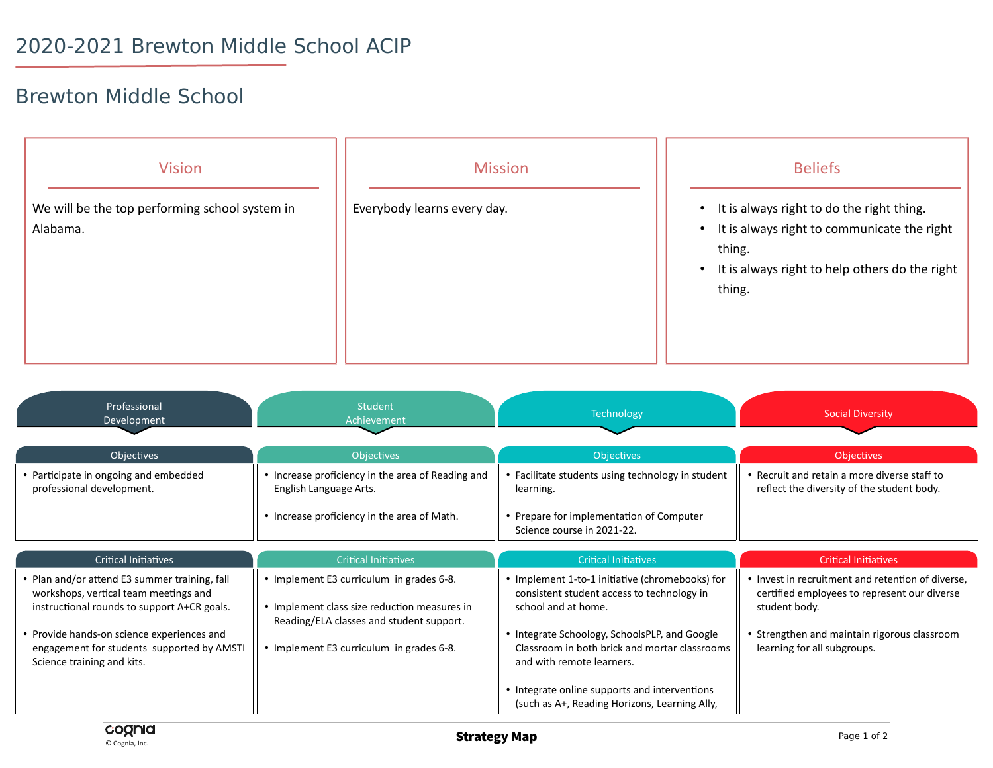## Brewton Middle School

| <b>Vision</b>                                              | <b>Mission</b>              | <b>Beliefs</b>                                                                                                                                                                                        |
|------------------------------------------------------------|-----------------------------|-------------------------------------------------------------------------------------------------------------------------------------------------------------------------------------------------------|
| We will be the top performing school system in<br>Alabama. | Everybody learns every day. | It is always right to do the right thing.<br>$\bullet$<br>It is always right to communicate the right<br>$\bullet$<br>thing.<br>It is always right to help others do the right<br>$\bullet$<br>thing. |

| Professional<br>Development                                                                                                                                                                                                                                     | Student<br>Achievement                                                                                                                                                           | <b>Technology</b>                                                                                                                                                                                                                                   | Social Diversity                                                                                                                                                                                  |
|-----------------------------------------------------------------------------------------------------------------------------------------------------------------------------------------------------------------------------------------------------------------|----------------------------------------------------------------------------------------------------------------------------------------------------------------------------------|-----------------------------------------------------------------------------------------------------------------------------------------------------------------------------------------------------------------------------------------------------|---------------------------------------------------------------------------------------------------------------------------------------------------------------------------------------------------|
| Objectives                                                                                                                                                                                                                                                      | <b>Objectives</b>                                                                                                                                                                | <b>Objectives</b>                                                                                                                                                                                                                                   | <b>Objectives</b>                                                                                                                                                                                 |
| • Participate in ongoing and embedded<br>professional development.                                                                                                                                                                                              | • Increase proficiency in the area of Reading and<br>English Language Arts.<br>• Increase proficiency in the area of Math.                                                       | • Facilitate students using technology in student<br>learning.<br>• Prepare for implementation of Computer                                                                                                                                          | • Recruit and retain a more diverse staff to<br>reflect the diversity of the student body.                                                                                                        |
|                                                                                                                                                                                                                                                                 |                                                                                                                                                                                  | Science course in 2021-22.                                                                                                                                                                                                                          |                                                                                                                                                                                                   |
| <b>Critical Initiatives</b>                                                                                                                                                                                                                                     | <b>Critical Initiatives</b>                                                                                                                                                      | <b>Critical Initiatives</b>                                                                                                                                                                                                                         | <b>Critical Initiatives</b>                                                                                                                                                                       |
| • Plan and/or attend E3 summer training, fall<br>workshops, vertical team meetings and<br>instructional rounds to support A+CR goals.<br>• Provide hands-on science experiences and<br>engagement for students supported by AMSTI<br>Science training and kits. | • Implement E3 curriculum in grades 6-8.<br>• Implement class size reduction measures in<br>Reading/ELA classes and student support.<br>• Implement E3 curriculum in grades 6-8. | • Implement 1-to-1 initiative (chromebooks) for<br>consistent student access to technology in<br>school and at home.<br>• Integrate Schoology, SchoolsPLP, and Google<br>Classroom in both brick and mortar classrooms<br>and with remote learners. | • Invest in recruitment and retention of diverse,<br>certified employees to represent our diverse<br>student body.<br>• Strengthen and maintain rigorous classroom<br>learning for all subgroups. |
|                                                                                                                                                                                                                                                                 |                                                                                                                                                                                  | • Integrate online supports and interventions<br>(such as A+, Reading Horizons, Learning Ally,                                                                                                                                                      |                                                                                                                                                                                                   |